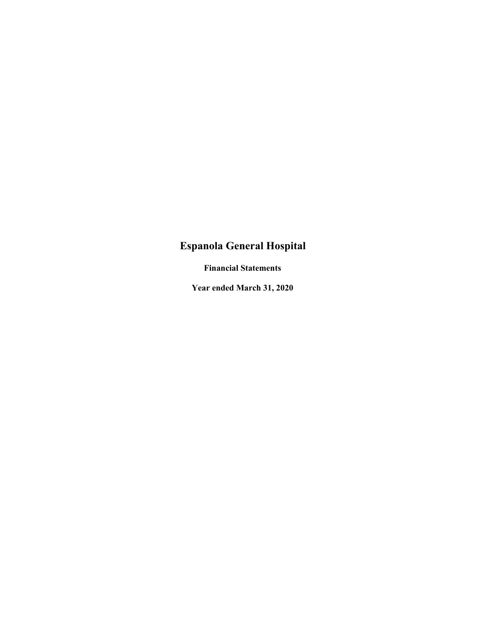# **Espanola General Hospital**

 **Financial Statements** 

 **Year ended March 31, 2020**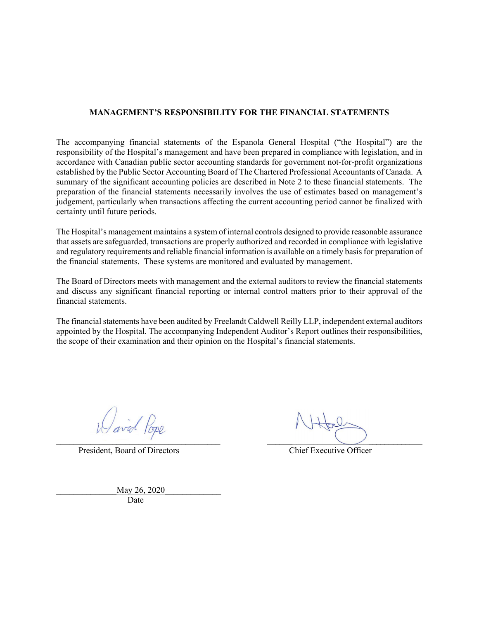# **MANAGEMENT'S RESPONSIBILITY FOR THE FINANCIAL STATEMENTS**

The accompanying financial statements of the Espanola General Hospital ("the Hospital") are the responsibility of the Hospital's management and have been prepared in compliance with legislation, and in accordance with Canadian public sector accounting standards for government not-for-profit organizations established by the Public Sector Accounting Board of The Chartered Professional Accountants of Canada. A summary of the significant accounting policies are described in Note 2 to these financial statements. The preparation of the financial statements necessarily involves the use of estimates based on management's judgement, particularly when transactions affecting the current accounting period cannot be finalized with certainty until future periods.

The Hospital's management maintains a system of internal controls designed to provide reasonable assurance that assets are safeguarded, transactions are properly authorized and recorded in compliance with legislative and regulatory requirements and reliable financial information is available on a timely basis for preparation of the financial statements. These systems are monitored and evaluated by management.

The Board of Directors meets with management and the external auditors to review the financial statements and discuss any significant financial reporting or internal control matters prior to their approval of the financial statements.

The financial statements have been audited by Freelandt Caldwell Reilly LLP, independent external auditors appointed by the Hospital. The accompanying Independent Auditor's Report outlines their responsibilities, the scope of their examination and their opinion on the Hospital's financial statements.

avid Pope

President, Board of Directors Chief Executive Officer

 $\Box$ 

May 26, 2020

Date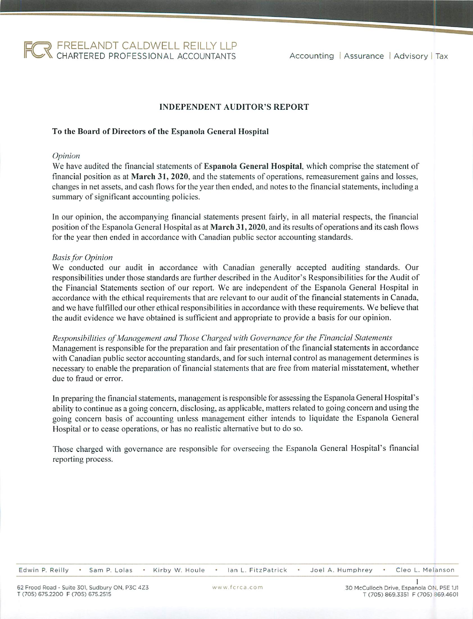Accounting | Assurance | Advisory | Tax



### **INDEPENDENT AUDITOR'S REPORT**

#### To the Board of Directors of the Espanola General Hospital

#### Opinion

We have audited the financial statements of Espanola General Hospital, which comprise the statement of financial position as at March 31, 2020, and the statements of operations, remeasurement gains and losses, changes in net assets, and cash flows for the year then ended, and notes to the financial statements, including a summary of significant accounting policies.

In our opinion, the accompanying financial statements present fairly, in all material respects, the financial position of the Espanola General Hospital as at March 31, 2020, and its results of operations and its cash flows for the year then ended in accordance with Canadian public sector accounting standards.

#### **Basis for Opinion**

We conducted our audit in accordance with Canadian generally accepted auditing standards. Our responsibilities under those standards are further described in the Auditor's Responsibilities for the Audit of the Financial Statements section of our report. We are independent of the Espanola General Hospital in accordance with the ethical requirements that are relevant to our audit of the financial statements in Canada, and we have fulfilled our other ethical responsibilities in accordance with these requirements. We believe that the audit evidence we have obtained is sufficient and appropriate to provide a basis for our opinion.

Responsibilities of Management and Those Charged with Governance for the Financial Statements Management is responsible for the preparation and fair presentation of the financial statements in accordance with Canadian public sector accounting standards, and for such internal control as management determines is necessary to enable the preparation of financial statements that are free from material misstatement, whether due to fraud or error.

In preparing the financial statements, management is responsible for assessing the Espanola General Hospital's ability to continue as a going concern, disclosing, as applicable, matters related to going concern and using the going concern basis of accounting unless management either intends to liquidate the Espanola General Hospital or to cease operations, or has no realistic alternative but to do so.

Those charged with governance are responsible for overseeing the Espanola General Hospital's financial reporting process.

Edwin P. Reilly · Sam P. Lolas . Kirby W. Houle Ian L. FitzPatrick Joel A. Humphrey Cleo L. Melanson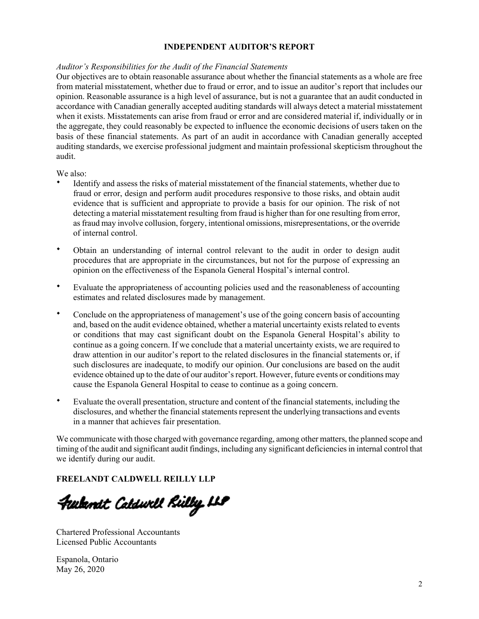# **INDEPENDENT AUDITOR'S REPORT**

### *Auditor's Responsibilities for the Audit of the Financial Statements*

Our objectives are to obtain reasonable assurance about whether the financial statements as a whole are free from material misstatement, whether due to fraud or error, and to issue an auditor's report that includes our opinion. Reasonable assurance is a high level of assurance, but is not a guarantee that an audit conducted in accordance with Canadian generally accepted auditing standards will always detect a material misstatement when it exists. Misstatements can arise from fraud or error and are considered material if, individually or in the aggregate, they could reasonably be expected to influence the economic decisions of users taken on the basis of these financial statements. As part of an audit in accordance with Canadian generally accepted auditing standards, we exercise professional judgment and maintain professional skepticism throughout the audit.

We also:

- Identify and assess the risks of material misstatement of the financial statements, whether due to fraud or error, design and perform audit procedures responsive to those risks, and obtain audit evidence that is sufficient and appropriate to provide a basis for our opinion. The risk of not detecting a material misstatement resulting from fraud is higher than for one resulting from error, as fraud may involve collusion, forgery, intentional omissions, misrepresentations, or the override of internal control.
- Obtain an understanding of internal control relevant to the audit in order to design audit procedures that are appropriate in the circumstances, but not for the purpose of expressing an opinion on the effectiveness of the Espanola General Hospital's internal control.
- Evaluate the appropriateness of accounting policies used and the reasonableness of accounting estimates and related disclosures made by management.
- Conclude on the appropriateness of management's use of the going concern basis of accounting and, based on the audit evidence obtained, whether a material uncertainty exists related to events or conditions that may cast significant doubt on the Espanola General Hospital's ability to continue as a going concern. If we conclude that a material uncertainty exists, we are required to draw attention in our auditor's report to the related disclosures in the financial statements or, if such disclosures are inadequate, to modify our opinion. Our conclusions are based on the audit evidence obtained up to the date of our auditor's report. However, future events or conditions may cause the Espanola General Hospital to cease to continue as a going concern.
- Evaluate the overall presentation, structure and content of the financial statements, including the disclosures, and whether the financial statements represent the underlying transactions and events in a manner that achieves fair presentation.

We communicate with those charged with governance regarding, among other matters, the planned scope and timing of the audit and significant audit findings, including any significant deficiencies in internal control that we identify during our audit.

# **FREELANDT CALDWELL REILLY LLP**

Furbandt Caldurll Rülby LLP

Chartered Professional Accountants Licensed Public Accountants

Espanola, Ontario May 26, 2020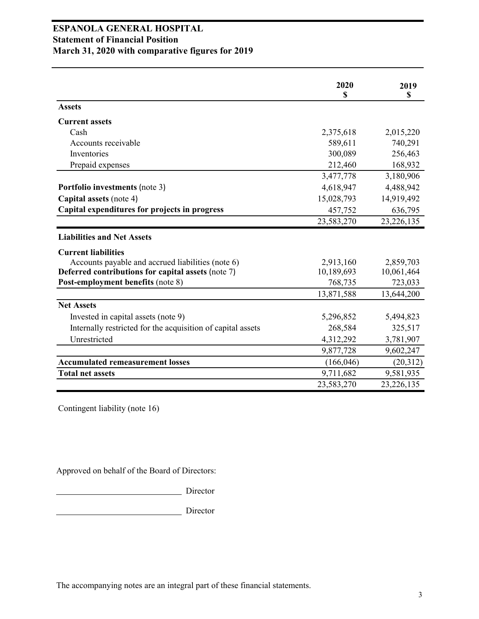# **ESPANOLA GENERAL HOSPITAL Statement of Financial Position March 31, 2020 with comparative figures for 2019**

|                                                             | 2020<br>S  | 2019<br>S    |
|-------------------------------------------------------------|------------|--------------|
| <b>Assets</b>                                               |            |              |
| <b>Current assets</b>                                       |            |              |
| Cash                                                        | 2,375,618  | 2,015,220    |
| Accounts receivable                                         | 589,611    | 740,291      |
| Inventories                                                 | 300,089    | 256,463      |
| Prepaid expenses                                            | 212,460    | 168,932      |
|                                                             | 3,477,778  | 3,180,906    |
| <b>Portfolio investments (note 3)</b>                       | 4,618,947  | 4,488,942    |
| Capital assets (note 4)                                     | 15,028,793 | 14,919,492   |
| Capital expenditures for projects in progress               | 457,752    | 636,795      |
|                                                             | 23,583,270 | 23, 226, 135 |
| <b>Liabilities and Net Assets</b>                           |            |              |
| <b>Current liabilities</b>                                  |            |              |
| Accounts payable and accrued liabilities (note 6)           | 2,913,160  | 2,859,703    |
| Deferred contributions for capital assets (note 7)          | 10,189,693 | 10,061,464   |
| Post-employment benefits (note 8)                           | 768,735    | 723,033      |
|                                                             | 13,871,588 | 13,644,200   |
| <b>Net Assets</b>                                           |            |              |
| Invested in capital assets (note 9)                         | 5,296,852  | 5,494,823    |
| Internally restricted for the acquisition of capital assets | 268,584    | 325,517      |
| Unrestricted                                                | 4,312,292  | 3,781,907    |
|                                                             | 9,877,728  | 9,602,247    |
| <b>Accumulated remeasurement losses</b>                     | (166, 046) | (20,312)     |
| <b>Total net assets</b>                                     | 9,711,682  | 9,581,935    |
|                                                             | 23,583,270 | 23,226,135   |

Contingent liability (note 16)

Approved on behalf of the Board of Directors:

Director

Director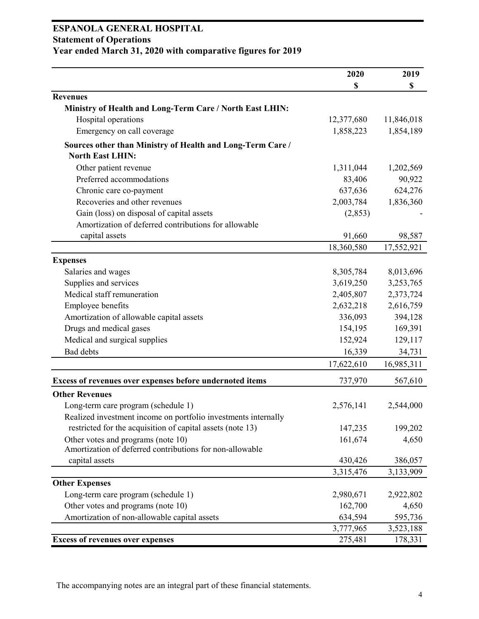# **ESPANOLA GENERAL HOSPITAL Statement of Operations Year ended March 31, 2020 with comparative figures for 2019**

|                                                                | 2020       | 2019       |
|----------------------------------------------------------------|------------|------------|
|                                                                | \$         | \$         |
| <b>Revenues</b>                                                |            |            |
| Ministry of Health and Long-Term Care / North East LHIN:       |            |            |
| Hospital operations                                            | 12,377,680 | 11,846,018 |
| Emergency on call coverage                                     | 1,858,223  | 1,854,189  |
| Sources other than Ministry of Health and Long-Term Care /     |            |            |
| <b>North East LHIN:</b>                                        |            |            |
| Other patient revenue                                          | 1,311,044  | 1,202,569  |
| Preferred accommodations                                       | 83,406     | 90,922     |
| Chronic care co-payment                                        | 637,636    | 624,276    |
| Recoveries and other revenues                                  | 2,003,784  | 1,836,360  |
| Gain (loss) on disposal of capital assets                      | (2,853)    |            |
| Amortization of deferred contributions for allowable           |            |            |
| capital assets                                                 | 91,660     | 98,587     |
|                                                                | 18,360,580 | 17,552,921 |
| <b>Expenses</b>                                                |            |            |
| Salaries and wages                                             | 8,305,784  | 8,013,696  |
| Supplies and services                                          | 3,619,250  | 3,253,765  |
| Medical staff remuneration                                     | 2,405,807  | 2,373,724  |
| <b>Employee benefits</b>                                       | 2,632,218  | 2,616,759  |
| Amortization of allowable capital assets                       | 336,093    | 394,128    |
| Drugs and medical gases                                        | 154,195    | 169,391    |
| Medical and surgical supplies                                  | 152,924    | 129,117    |
| <b>Bad</b> debts                                               | 16,339     | 34,731     |
|                                                                | 17,622,610 | 16,985,311 |
| Excess of revenues over expenses before undernoted items       | 737,970    | 567,610    |
| <b>Other Revenues</b>                                          |            |            |
| Long-term care program (schedule 1)                            | 2,576,141  | 2,544,000  |
| Realized investment income on portfolio investments internally |            |            |
| restricted for the acquisition of capital assets (note 13)     | 147,235    | 199,202    |
| Other votes and programs (note 10)                             | 161,674    | 4,650      |
| Amortization of deferred contributions for non-allowable       |            |            |
| capital assets                                                 | 430,426    | 386,057    |
|                                                                | 3,315,476  | 3,133,909  |
| <b>Other Expenses</b>                                          |            |            |
| Long-term care program (schedule 1)                            | 2,980,671  | 2,922,802  |
| Other votes and programs (note 10)                             | 162,700    | 4,650      |
| Amortization of non-allowable capital assets                   | 634,594    | 595,736    |
|                                                                | 3,777,965  | 3,523,188  |
| <b>Excess of revenues over expenses</b>                        | 275,481    | 178,331    |

The accompanying notes are an integral part of these financial statements.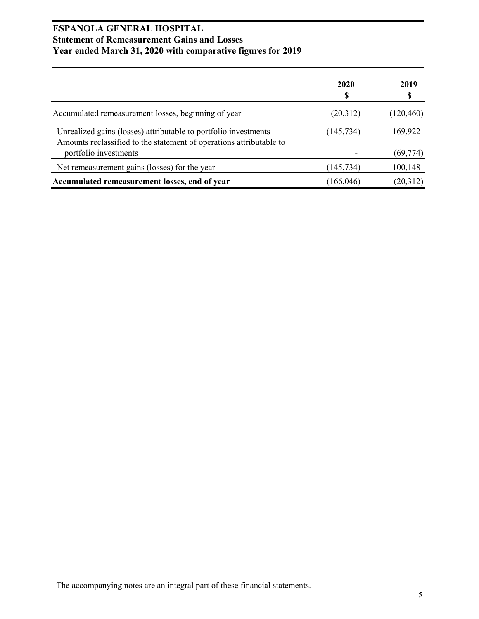# **ESPANOLA GENERAL HOSPITAL Statement of Remeasurement Gains and Losses Year ended March 31, 2020 with comparative figures for 2019**

|                                                                                                                                        | 2020<br>\$ | 2019<br>\$ |
|----------------------------------------------------------------------------------------------------------------------------------------|------------|------------|
| Accumulated remeasurement losses, beginning of year                                                                                    | (20,312)   | (120, 460) |
| Unrealized gains (losses) attributable to portfolio investments<br>Amounts reclassified to the statement of operations attributable to | (145, 734) | 169,922    |
| portfolio investments                                                                                                                  |            | (69, 774)  |
| Net remeasurement gains (losses) for the year                                                                                          | (145, 734) | 100,148    |
| Accumulated remeasurement losses, end of year                                                                                          | (166, 046) | (20,312)   |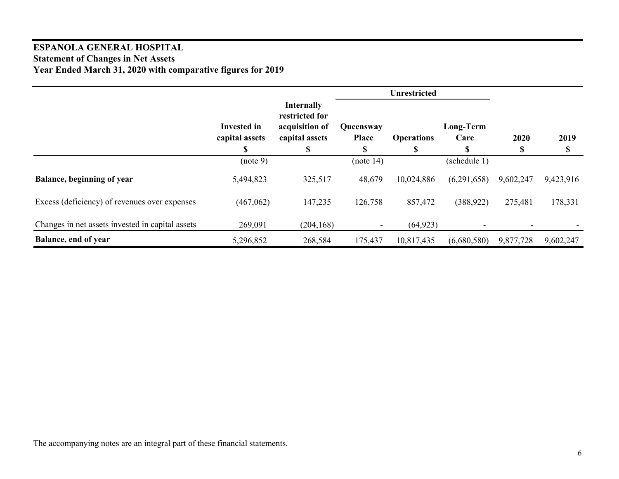# **ESPANOLA GENERAL HOSPITAL Statement of Changes in Net Assets Year Ended March 31, 2020 with comparative figures for 2019**

|                                                  |                                    |                                                                              |                                | <b>Unrestricted</b>    |                   |            |            |
|--------------------------------------------------|------------------------------------|------------------------------------------------------------------------------|--------------------------------|------------------------|-------------------|------------|------------|
|                                                  | Invested in<br>capital assets<br>S | <b>Internally</b><br>restricted for<br>acquisition of<br>capital assets<br>S | Queensway<br><b>Place</b><br>S | <b>Operations</b><br>S | Long-Term<br>Care | 2020<br>\$ | 2019<br>\$ |
|                                                  | (note 9)                           |                                                                              | (note 14)                      |                        | (schedule 1)      |            |            |
| <b>Balance, beginning of year</b>                | 5,494,823                          | 325,517                                                                      | 48,679                         | 10,024,886             | (6,291,658)       | 9,602,247  | 9,423,916  |
| Excess (deficiency) of revenues over expenses    | (467,062)                          | 147,235                                                                      | 126,758                        | 857,472                | (388, 922)        | 275,481    | 178,331    |
| Changes in net assets invested in capital assets | 269,091                            | (204, 168)                                                                   | $\overline{\phantom{a}}$       | (64, 923)              |                   |            |            |
| <b>Balance, end of year</b>                      | 5,296,852                          | 268,584                                                                      | 175,437                        | 10,817,435             | (6,680,580)       | 9,877,728  | 9,602,247  |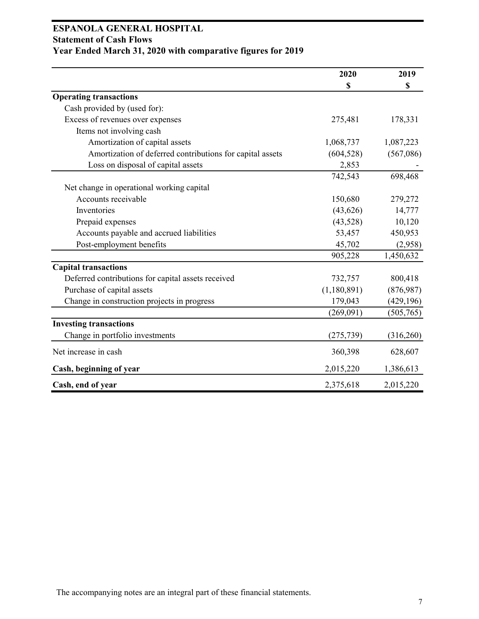# **ESPANOLA GENERAL HOSPITAL Statement of Cash Flows Year Ended March 31, 2020 with comparative figures for 2019**

|                                                           | 2020        | 2019       |
|-----------------------------------------------------------|-------------|------------|
|                                                           | \$          | \$         |
| <b>Operating transactions</b>                             |             |            |
| Cash provided by (used for):                              |             |            |
| Excess of revenues over expenses                          | 275,481     | 178,331    |
| Items not involving cash                                  |             |            |
| Amortization of capital assets                            | 1,068,737   | 1,087,223  |
| Amortization of deferred contributions for capital assets | (604, 528)  | (567,086)  |
| Loss on disposal of capital assets                        | 2,853       |            |
|                                                           | 742,543     | 698,468    |
| Net change in operational working capital                 |             |            |
| Accounts receivable                                       | 150,680     | 279,272    |
| Inventories                                               | (43, 626)   | 14,777     |
| Prepaid expenses                                          | (43,528)    | 10,120     |
| Accounts payable and accrued liabilities                  | 53,457      | 450,953    |
| Post-employment benefits                                  | 45,702      | (2,958)    |
|                                                           | 905,228     | 1,450,632  |
| <b>Capital transactions</b>                               |             |            |
| Deferred contributions for capital assets received        | 732,757     | 800,418    |
| Purchase of capital assets                                | (1,180,891) | (876,987)  |
| Change in construction projects in progress               | 179,043     | (429, 196) |
|                                                           | (269,091)   | (505, 765) |
| <b>Investing transactions</b>                             |             |            |
| Change in portfolio investments                           | (275, 739)  | (316,260)  |
| Net increase in cash                                      | 360,398     | 628,607    |
| Cash, beginning of year                                   | 2,015,220   | 1,386,613  |
| Cash, end of year                                         | 2,375,618   | 2,015,220  |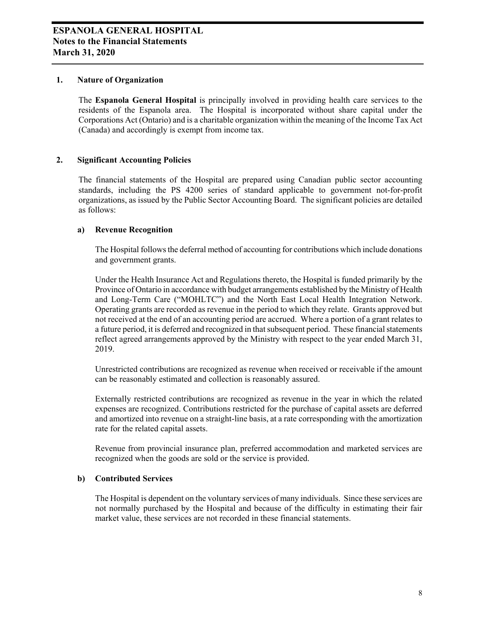### **1. Nature of Organization**

The **Espanola General Hospital** is principally involved in providing health care services to the residents of the Espanola area. The Hospital is incorporated without share capital under the Corporations Act (Ontario) and is a charitable organization within the meaning of the Income Tax Act (Canada) and accordingly is exempt from income tax.

# **2. Significant Accounting Policies**

The financial statements of the Hospital are prepared using Canadian public sector accounting standards, including the PS 4200 series of standard applicable to government not-for-profit organizations, as issued by the Public Sector Accounting Board. The significant policies are detailed as follows:

# **a) Revenue Recognition**

The Hospital follows the deferral method of accounting for contributions which include donations and government grants.

Under the Health Insurance Act and Regulations thereto, the Hospital is funded primarily by the Province of Ontario in accordance with budget arrangements established by the Ministry of Health and Long-Term Care ("MOHLTC") and the North East Local Health Integration Network. Operating grants are recorded as revenue in the period to which they relate. Grants approved but not received at the end of an accounting period are accrued. Where a portion of a grant relates to a future period, it is deferred and recognized in that subsequent period. These financial statements reflect agreed arrangements approved by the Ministry with respect to the year ended March 31, 2019.

Unrestricted contributions are recognized as revenue when received or receivable if the amount can be reasonably estimated and collection is reasonably assured.

Externally restricted contributions are recognized as revenue in the year in which the related expenses are recognized. Contributions restricted for the purchase of capital assets are deferred and amortized into revenue on a straight-line basis, at a rate corresponding with the amortization rate for the related capital assets.

Revenue from provincial insurance plan, preferred accommodation and marketed services are recognized when the goods are sold or the service is provided.

### **b) Contributed Services**

The Hospital is dependent on the voluntary services of many individuals. Since these services are not normally purchased by the Hospital and because of the difficulty in estimating their fair market value, these services are not recorded in these financial statements.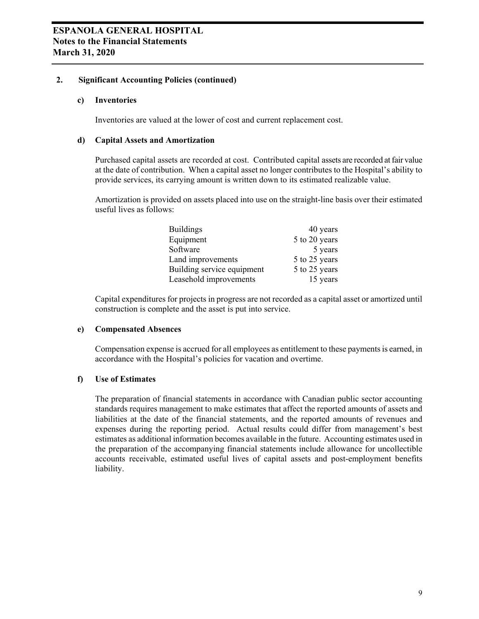# **2. Significant Accounting Policies (continued)**

#### **c) Inventories**

Inventories are valued at the lower of cost and current replacement cost.

#### **d) Capital Assets and Amortization**

Purchased capital assets are recorded at cost. Contributed capital assets are recorded at fair value at the date of contribution. When a capital asset no longer contributes to the Hospital's ability to provide services, its carrying amount is written down to its estimated realizable value.

Amortization is provided on assets placed into use on the straight-line basis over their estimated useful lives as follows:

| <b>Buildings</b>           | 40 years      |
|----------------------------|---------------|
| Equipment                  | 5 to 20 years |
| Software                   | 5 years       |
| Land improvements          | 5 to 25 years |
| Building service equipment | 5 to 25 years |
| Leasehold improvements     | 15 years      |

Capital expenditures for projects in progress are not recorded as a capital asset or amortized until construction is complete and the asset is put into service.

#### **e) Compensated Absences**

Compensation expense is accrued for all employees as entitlement to these payments is earned, in accordance with the Hospital's policies for vacation and overtime.

### **f) Use of Estimates**

The preparation of financial statements in accordance with Canadian public sector accounting standards requires management to make estimates that affect the reported amounts of assets and liabilities at the date of the financial statements, and the reported amounts of revenues and expenses during the reporting period. Actual results could differ from management's best estimates as additional information becomes available in the future. Accounting estimates used in the preparation of the accompanying financial statements include allowance for uncollectible accounts receivable, estimated useful lives of capital assets and post-employment benefits liability.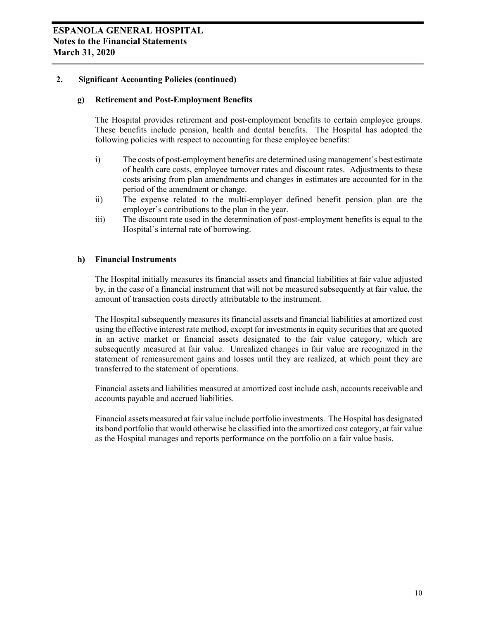# **2. Significant Accounting Policies (continued)**

# **g) Retirement and Post-Employment Benefits**

The Hospital provides retirement and post-employment benefits to certain employee groups. These benefits include pension, health and dental benefits. The Hospital has adopted the following policies with respect to accounting for these employee benefits:

- i) The costs of post-employment benefits are determined using management`s best estimate of health care costs, employee turnover rates and discount rates. Adjustments to these costs arising from plan amendments and changes in estimates are accounted for in the period of the amendment or change.
- ii) The expense related to the multi-employer defined benefit pension plan are the employer`s contributions to the plan in the year.
- iii) The discount rate used in the determination of post-employment benefits is equal to the Hospital`s internal rate of borrowing.

### **h) Financial Instruments**

The Hospital initially measures its financial assets and financial liabilities at fair value adjusted by, in the case of a financial instrument that will not be measured subsequently at fair value, the amount of transaction costs directly attributable to the instrument.

The Hospital subsequently measures its financial assets and financial liabilities at amortized cost using the effective interest rate method, except for investments in equity securities that are quoted in an active market or financial assets designated to the fair value category, which are subsequently measured at fair value. Unrealized changes in fair value are recognized in the statement of remeasurement gains and losses until they are realized, at which point they are transferred to the statement of operations.

Financial assets and liabilities measured at amortized cost include cash, accounts receivable and accounts payable and accrued liabilities.

Financial assets measured at fair value include portfolio investments. The Hospital has designated its bond portfolio that would otherwise be classified into the amortized cost category, at fair value as the Hospital manages and reports performance on the portfolio on a fair value basis.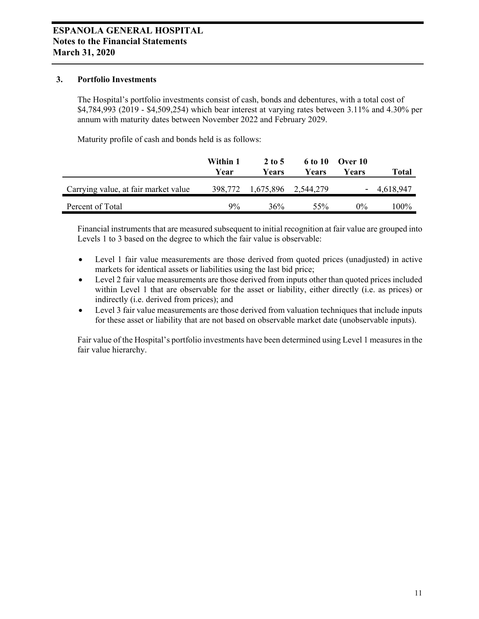# **3. Portfolio Investments**

The Hospital's portfolio investments consist of cash, bonds and debentures, with a total cost of \$4,784,993 (2019 - \$4,509,254) which bear interest at varying rates between 3.11% and 4.30% per annum with maturity dates between November 2022 and February 2029.

Maturity profile of cash and bonds held is as follows:

|                                      | Within 1<br>Year | 2 to 5<br>Years             | 6 to 10<br><b>Years</b> | Over 10<br>Years | Total        |
|--------------------------------------|------------------|-----------------------------|-------------------------|------------------|--------------|
| Carrying value, at fair market value |                  | 398,772 1,675,896 2,544,279 |                         |                  | $-4,618,947$ |
| Percent of Total                     | $9\%$            | 36%                         | 55%                     | $0\%$            | $100\%$      |

Financial instruments that are measured subsequent to initial recognition at fair value are grouped into Levels 1 to 3 based on the degree to which the fair value is observable:

- Level 1 fair value measurements are those derived from quoted prices (unadjusted) in active markets for identical assets or liabilities using the last bid price;
- Level 2 fair value measurements are those derived from inputs other than quoted prices included within Level 1 that are observable for the asset or liability, either directly (i.e. as prices) or indirectly (i.e. derived from prices); and
- Level 3 fair value measurements are those derived from valuation techniques that include inputs for these asset or liability that are not based on observable market date (unobservable inputs).

Fair value of the Hospital's portfolio investments have been determined using Level 1 measures in the fair value hierarchy.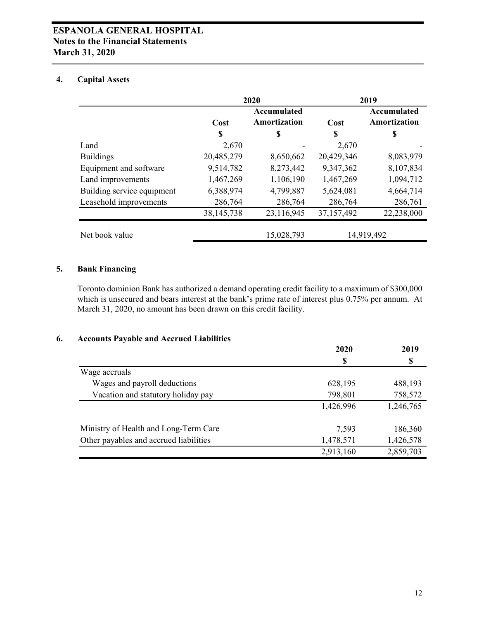# **4. Capital Assets**

|                            | 2020         |                             |            | 2019                        |
|----------------------------|--------------|-----------------------------|------------|-----------------------------|
|                            | Cost         | Accumulated<br>Amortization | Cost       | Accumulated<br>Amortization |
|                            | \$           | S                           | \$         | \$                          |
| Land                       | 2,670        |                             | 2,670      |                             |
| <b>Buildings</b>           | 20,485,279   | 8,650,662                   | 20,429,346 | 8,083,979                   |
| Equipment and software     | 9,514,782    | 8,273,442                   | 9,347,362  | 8,107,834                   |
| Land improvements          | 1,467,269    | 1,106,190                   | 1,467,269  | 1,094,712                   |
| Building service equipment | 6,388,974    | 4,799,887                   | 5,624,081  | 4,664,714                   |
| Leasehold improvements     | 286,764      | 286,764                     | 286,764    | 286,761                     |
|                            | 38, 145, 738 | 23,116,945                  | 37,157,492 | 22,238,000                  |
| Net book value             |              | 15,028,793                  |            | 14,919,492                  |

# **5. Bank Financing**

Toronto dominion Bank has authorized a demand operating credit facility to a maximum of \$300,000 which is unsecured and bears interest at the bank's prime rate of interest plus 0.75% per annum. At March 31, 2020, no amount has been drawn on this credit facility.

### **6. Accounts Payable and Accrued Liabilities**

|                                        | 2020      | 2019      |
|----------------------------------------|-----------|-----------|
|                                        | \$        | \$        |
| Wage accruals                          |           |           |
| Wages and payroll deductions           | 628,195   | 488,193   |
| Vacation and statutory holiday pay     | 798,801   | 758,572   |
|                                        | 1,426,996 | 1,246,765 |
| Ministry of Health and Long-Term Care  | 7,593     | 186,360   |
| Other payables and accrued liabilities | 1,478,571 | 1,426,578 |
|                                        | 2,913,160 | 2,859,703 |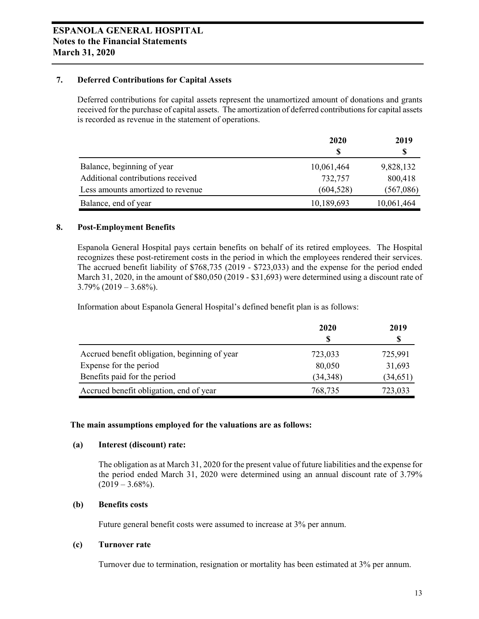# **7. Deferred Contributions for Capital Assets**

Deferred contributions for capital assets represent the unamortized amount of donations and grants received for the purchase of capital assets. The amortization of deferred contributions for capital assets is recorded as revenue in the statement of operations.

|                                   | 2020       | 2019       |
|-----------------------------------|------------|------------|
|                                   |            |            |
| Balance, beginning of year        | 10,061,464 | 9,828,132  |
| Additional contributions received | 732,757    | 800,418    |
| Less amounts amortized to revenue | (604, 528) | (567,086)  |
| Balance, end of year              | 10,189,693 | 10,061,464 |

# **8. Post-Employment Benefits**

Espanola General Hospital pays certain benefits on behalf of its retired employees. The Hospital recognizes these post-retirement costs in the period in which the employees rendered their services. The accrued benefit liability of \$768,735 (2019 - \$723,033) and the expense for the period ended March 31, 2020, in the amount of \$80,050 (2019 - \$31,693) were determined using a discount rate of  $3.79\%$  (2019 – 3.68%).

Information about Espanola General Hospital's defined benefit plan is as follows:

|                                               | 2020     | 2019      |  |
|-----------------------------------------------|----------|-----------|--|
|                                               | S        |           |  |
| Accrued benefit obligation, beginning of year | 723,033  | 725,991   |  |
| Expense for the period                        | 80,050   | 31,693    |  |
| Benefits paid for the period                  | (34,348) | (34, 651) |  |
| Accrued benefit obligation, end of year       | 768,735  | 723,033   |  |

### **The main assumptions employed for the valuations are as follows:**

### **(a) Interest (discount) rate:**

The obligation as at March 31, 2020 for the present value of future liabilities and the expense for the period ended March 31, 2020 were determined using an annual discount rate of 3.79%  $(2019 - 3.68\%)$ .

### **(b) Benefits costs**

Future general benefit costs were assumed to increase at 3% per annum.

#### **(c) Turnover rate**

Turnover due to termination, resignation or mortality has been estimated at 3% per annum.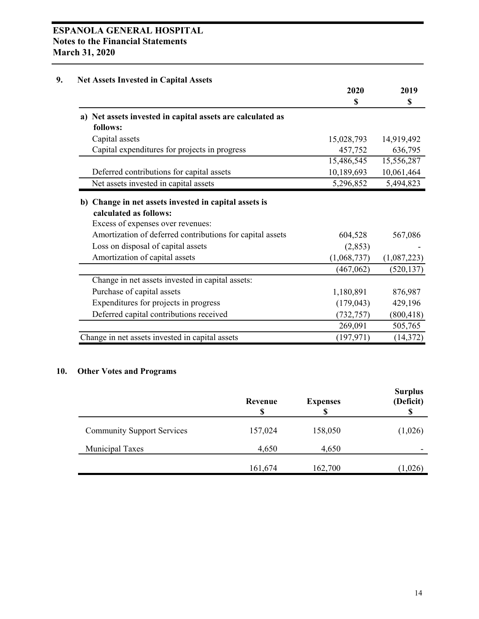# **ESPANOLA GENERAL HOSPITAL Notes to the Financial Statements March 31, 2020**

# **9. Net Assets Invested in Capital Assets**

|                                                                                                                      | 2020        | 2019        |
|----------------------------------------------------------------------------------------------------------------------|-------------|-------------|
|                                                                                                                      | \$          | \$          |
| a) Net assets invested in capital assets are calculated as<br>follows:                                               |             |             |
| Capital assets                                                                                                       | 15,028,793  | 14,919,492  |
| Capital expenditures for projects in progress                                                                        | 457,752     | 636,795     |
|                                                                                                                      | 15,486,545  | 15,556,287  |
| Deferred contributions for capital assets                                                                            | 10,189,693  | 10,061,464  |
| Net assets invested in capital assets                                                                                | 5,296,852   | 5,494,823   |
| b) Change in net assets invested in capital assets is<br>calculated as follows:<br>Excess of expenses over revenues: |             |             |
| Amortization of deferred contributions for capital assets                                                            | 604,528     | 567,086     |
| Loss on disposal of capital assets                                                                                   | (2,853)     |             |
| Amortization of capital assets                                                                                       | (1,068,737) | (1,087,223) |
|                                                                                                                      | (467, 062)  | (520, 137)  |
| Change in net assets invested in capital assets:                                                                     |             |             |
| Purchase of capital assets                                                                                           | 1,180,891   | 876,987     |
| Expenditures for projects in progress                                                                                | (179, 043)  | 429,196     |
| Deferred capital contributions received                                                                              | (732, 757)  | (800, 418)  |
|                                                                                                                      | 269,091     | 505,765     |
| Change in net assets invested in capital assets                                                                      | (197, 971)  | (14, 372)   |

# **10. Other Votes and Programs**

|                                   | Revenue<br>S | <b>Expenses</b> | <b>Surplus</b><br>(Deficit) |
|-----------------------------------|--------------|-----------------|-----------------------------|
| <b>Community Support Services</b> | 157,024      | 158,050         | (1,026)                     |
| Municipal Taxes                   | 4,650        | 4,650           | $\overline{\phantom{0}}$    |
|                                   | 161,674      | 162,700         | (1,026)                     |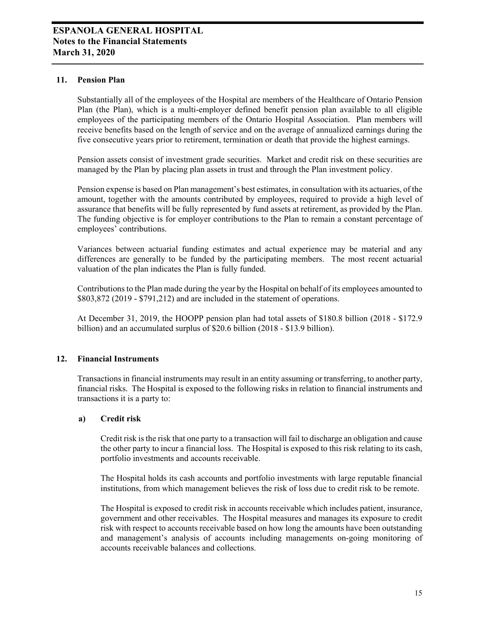# **11. Pension Plan**

Substantially all of the employees of the Hospital are members of the Healthcare of Ontario Pension Plan (the Plan), which is a multi-employer defined benefit pension plan available to all eligible employees of the participating members of the Ontario Hospital Association. Plan members will receive benefits based on the length of service and on the average of annualized earnings during the five consecutive years prior to retirement, termination or death that provide the highest earnings.

Pension assets consist of investment grade securities. Market and credit risk on these securities are managed by the Plan by placing plan assets in trust and through the Plan investment policy.

Pension expense is based on Plan management's best estimates, in consultation with its actuaries, of the amount, together with the amounts contributed by employees, required to provide a high level of assurance that benefits will be fully represented by fund assets at retirement, as provided by the Plan. The funding objective is for employer contributions to the Plan to remain a constant percentage of employees' contributions.

Variances between actuarial funding estimates and actual experience may be material and any differences are generally to be funded by the participating members. The most recent actuarial valuation of the plan indicates the Plan is fully funded.

Contributions to the Plan made during the year by the Hospital on behalf of its employees amounted to \$803,872 (2019 - \$791,212) and are included in the statement of operations.

At December 31, 2019, the HOOPP pension plan had total assets of \$180.8 billion (2018 - \$172.9 billion) and an accumulated surplus of \$20.6 billion (2018 - \$13.9 billion).

# **12. Financial Instruments**

Transactions in financial instruments may result in an entity assuming or transferring, to another party, financial risks. The Hospital is exposed to the following risks in relation to financial instruments and transactions it is a party to:

### **a) Credit risk**

Credit risk is the risk that one party to a transaction will fail to discharge an obligation and cause the other party to incur a financial loss. The Hospital is exposed to this risk relating to its cash, portfolio investments and accounts receivable.

The Hospital holds its cash accounts and portfolio investments with large reputable financial institutions, from which management believes the risk of loss due to credit risk to be remote.

The Hospital is exposed to credit risk in accounts receivable which includes patient, insurance, government and other receivables. The Hospital measures and manages its exposure to credit risk with respect to accounts receivable based on how long the amounts have been outstanding and management's analysis of accounts including managements on-going monitoring of accounts receivable balances and collections.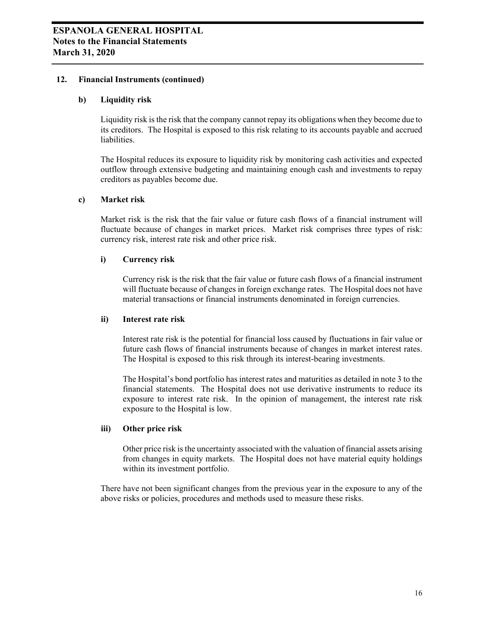# **12. Financial Instruments (continued)**

### **b) Liquidity risk**

Liquidity risk is the risk that the company cannot repay its obligations when they become due to its creditors. The Hospital is exposed to this risk relating to its accounts payable and accrued liabilities.

The Hospital reduces its exposure to liquidity risk by monitoring cash activities and expected outflow through extensive budgeting and maintaining enough cash and investments to repay creditors as payables become due.

### **c) Market risk**

Market risk is the risk that the fair value or future cash flows of a financial instrument will fluctuate because of changes in market prices. Market risk comprises three types of risk: currency risk, interest rate risk and other price risk.

### **i) Currency risk**

Currency risk is the risk that the fair value or future cash flows of a financial instrument will fluctuate because of changes in foreign exchange rates. The Hospital does not have material transactions or financial instruments denominated in foreign currencies.

### **ii) Interest rate risk**

Interest rate risk is the potential for financial loss caused by fluctuations in fair value or future cash flows of financial instruments because of changes in market interest rates. The Hospital is exposed to this risk through its interest-bearing investments.

The Hospital's bond portfolio has interest rates and maturities as detailed in note 3 to the financial statements. The Hospital does not use derivative instruments to reduce its exposure to interest rate risk. In the opinion of management, the interest rate risk exposure to the Hospital is low.

### **iii) Other price risk**

Other price risk is the uncertainty associated with the valuation of financial assets arising from changes in equity markets. The Hospital does not have material equity holdings within its investment portfolio.

There have not been significant changes from the previous year in the exposure to any of the above risks or policies, procedures and methods used to measure these risks.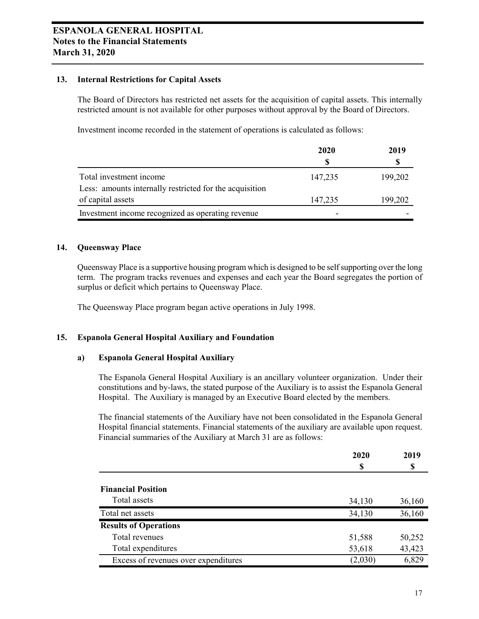# **13. Internal Restrictions for Capital Assets**

The Board of Directors has restricted net assets for the acquisition of capital assets. This internally restricted amount is not available for other purposes without approval by the Board of Directors.

Investment income recorded in the statement of operations is calculated as follows:

|                                                         | 2020    | 2019    |
|---------------------------------------------------------|---------|---------|
|                                                         |         |         |
| Total investment income                                 | 147,235 | 199,202 |
| Less: amounts internally restricted for the acquisition |         |         |
| of capital assets                                       | 147,235 | 199,202 |
| Investment income recognized as operating revenue       |         |         |

# **14. Queensway Place**

Queensway Place is a supportive housing program which is designed to be self supporting over the long term. The program tracks revenues and expenses and each year the Board segregates the portion of surplus or deficit which pertains to Queensway Place.

The Queensway Place program began active operations in July 1998.

### **15. Espanola General Hospital Auxiliary and Foundation**

### **a) Espanola General Hospital Auxiliary**

The Espanola General Hospital Auxiliary is an ancillary volunteer organization. Under their constitutions and by-laws, the stated purpose of the Auxiliary is to assist the Espanola General Hospital. The Auxiliary is managed by an Executive Board elected by the members.

The financial statements of the Auxiliary have not been consolidated in the Espanola General Hospital financial statements. Financial statements of the auxiliary are available upon request. Financial summaries of the Auxiliary at March 31 are as follows:

|                                      | 2020<br>S | 2019<br>\$ |
|--------------------------------------|-----------|------------|
|                                      |           |            |
|                                      |           |            |
| <b>Financial Position</b>            |           |            |
| Total assets                         | 34,130    | 36,160     |
| Total net assets                     | 34,130    | 36,160     |
| <b>Results of Operations</b>         |           |            |
| Total revenues                       | 51,588    | 50,252     |
| Total expenditures                   | 53,618    | 43,423     |
| Excess of revenues over expenditures | (2,030)   | 6,829      |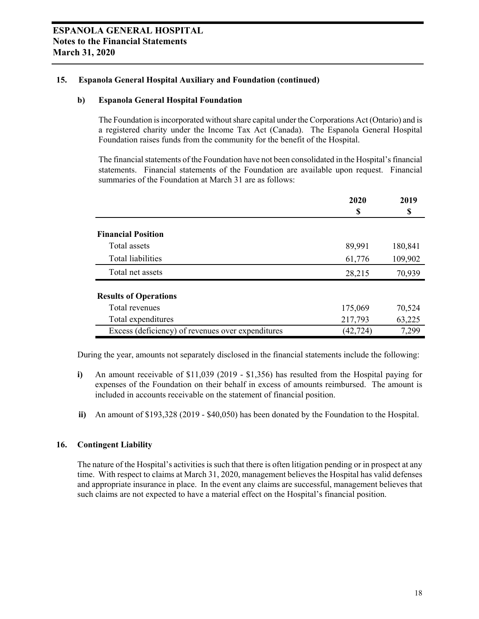# **15. Espanola General Hospital Auxiliary and Foundation (continued)**

#### **b) Espanola General Hospital Foundation**

The Foundation is incorporated without share capital under the Corporations Act (Ontario) and is a registered charity under the Income Tax Act (Canada). The Espanola General Hospital Foundation raises funds from the community for the benefit of the Hospital.

The financial statements of the Foundation have not been consolidated in the Hospital's financial statements. Financial statements of the Foundation are available upon request. Financial summaries of the Foundation at March 31 are as follows:

|                                                   | 2020      | 2019    |
|---------------------------------------------------|-----------|---------|
|                                                   | S         | S       |
|                                                   |           |         |
| <b>Financial Position</b>                         |           |         |
| Total assets                                      | 89,991    | 180,841 |
| Total liabilities                                 | 61,776    | 109,902 |
| Total net assets                                  | 28,215    | 70,939  |
|                                                   |           |         |
| <b>Results of Operations</b>                      |           |         |
| Total revenues                                    | 175,069   | 70,524  |
| Total expenditures                                | 217,793   | 63,225  |
| Excess (deficiency) of revenues over expenditures | (42, 724) | 7,299   |

During the year, amounts not separately disclosed in the financial statements include the following:

- **i)** An amount receivable of \$11,039 (2019 \$1,356) has resulted from the Hospital paying for expenses of the Foundation on their behalf in excess of amounts reimbursed. The amount is included in accounts receivable on the statement of financial position.
- **ii)** An amount of \$193,328 (2019 \$40,050) has been donated by the Foundation to the Hospital.

### **16. Contingent Liability**

The nature of the Hospital's activities is such that there is often litigation pending or in prospect at any time. With respect to claims at March 31, 2020, management believes the Hospital has valid defenses and appropriate insurance in place. In the event any claims are successful, management believes that such claims are not expected to have a material effect on the Hospital's financial position.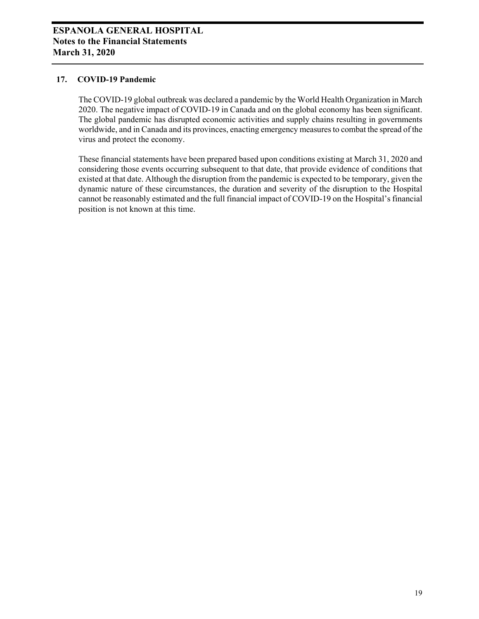# **17. COVID-19 Pandemic**

The COVID-19 global outbreak was declared a pandemic by the World Health Organization in March 2020. The negative impact of COVID-19 in Canada and on the global economy has been significant. The global pandemic has disrupted economic activities and supply chains resulting in governments worldwide, and in Canada and its provinces, enacting emergency measures to combat the spread of the virus and protect the economy.

These financial statements have been prepared based upon conditions existing at March 31, 2020 and considering those events occurring subsequent to that date, that provide evidence of conditions that existed at that date. Although the disruption from the pandemic is expected to be temporary, given the dynamic nature of these circumstances, the duration and severity of the disruption to the Hospital cannot be reasonably estimated and the full financial impact of COVID-19 on the Hospital's financial position is not known at this time.